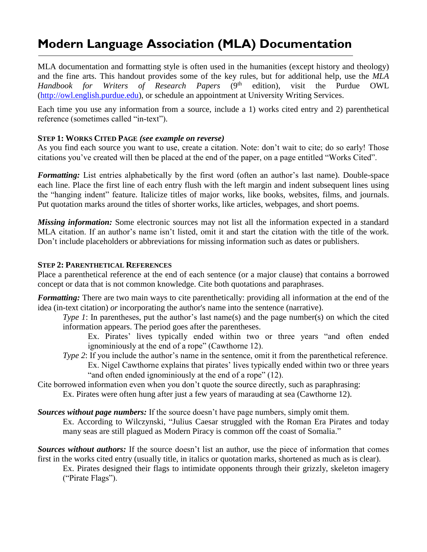# **Modern Language Association (MLA) Documentation**

MLA documentation and formatting style is often used in the humanities (except history and theology) and the fine arts. This handout provides some of the key rules, but for additional help, use the *MLA Handbook for Writers of Research Papers* (9 edition), visit the Purdue OWL [\(http://owl.english.purdue.edu\)](http://owl.english.purdue.edu/), or schedule an appointment at University Writing Services.

Each time you use any information from a source, include a 1) works cited entry and 2) parenthetical reference (sometimes called "in-text").

### **STEP 1: WORKS CITED PAGE** *(see example on reverse)*

As you find each source you want to use, create a citation. Note: don't wait to cite; do so early! Those citations you've created will then be placed at the end of the paper, on a page entitled "Works Cited".

*Formatting:* List entries alphabetically by the first word (often an author's last name). Double-space each line. Place the first line of each entry flush with the left margin and indent subsequent lines using the "hanging indent" feature. Italicize titles of major works, like books, websites, films, and journals. Put quotation marks around the titles of shorter works, like articles, webpages, and short poems.

*Missing information:* Some electronic sources may not list all the information expected in a standard MLA citation. If an author's name isn't listed, omit it and start the citation with the title of the work. Don't include placeholders or abbreviations for missing information such as dates or publishers.

#### **STEP 2: PARENTHETICAL REFERENCES**

Place a parenthetical reference at the end of each sentence (or a major clause) that contains a borrowed concept or data that is not common knowledge. Cite both quotations and paraphrases.

*Formatting:* There are two main ways to cite parenthetically: providing all information at the end of the idea (in-text citation) *or* incorporating the author's name into the sentence (narrative).

*Type 1*: In parentheses, put the author's last name(s) and the page number(s) on which the cited information appears. The period goes after the parentheses.

Ex. Pirates' lives typically ended within two or three years "and often ended ignominiously at the end of a rope" (Cawthorne 12).

- *Type 2*: If you include the author's name in the sentence, omit it from the parenthetical reference. Ex. Nigel Cawthorne explains that pirates' lives typically ended within two or three years "and often ended ignominiously at the end of a rope" (12).
- Cite borrowed information even when you don't quote the source directly, such as paraphrasing:

Ex. Pirates were often hung after just a few years of marauding at sea (Cawthorne 12).

*Sources without page numbers:* If the source doesn't have page numbers, simply omit them. Ex. According to Wilczynski, "Julius Caesar struggled with the Roman Era Pirates and today many seas are still plagued as Modern Piracy is common off the coast of Somalia."

*Sources without authors:* If the source doesn't list an author, use the piece of information that comes first in the works cited entry (usually title, in italics or quotation marks, shortened as much as is clear).

Ex. Pirates designed their flags to intimidate opponents through their grizzly, skeleton imagery ("Pirate Flags").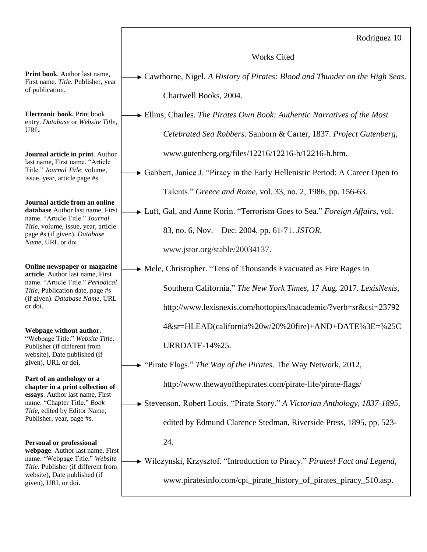Rodriguez 10

Works Cited

Cawthorne, Nigel. *A History of Pirates: Blood and Thunder on the High Seas*. Chartwell Books, 2004.

Ellms, Charles. *The Pirates Own Book: Authentic Narratives of the Most Celebrated Sea Robbers*. Sanborn & Carter, 1837. *Project Gutenberg*, www.gutenberg.org/files/12216/12216-h/12216-h.htm.

Gabbert, Janice J. "Piracy in the Early Hellenistic Period: A Career Open to Talents." *Greece and Rome*, vol. 33, no. 2, 1986, pp. 156-63.

Luft, Gal, and Anne Korin. "Terrorism Goes to Sea." *Foreign Affairs*, vol.

83, no. 6, Nov. – Dec. 2004, pp. 61-71. *JSTOR*,

www.jstor.org/stable/20034137.

Mele, Christopher. "Tens of Thousands Evacuated as Fire Rages in

Southern California." *The New York Times*, 17 Aug. 2017. *LexisNexis*,

http://www.lexisnexis.com/hottopics/lnacademic/?verb=sr&csi=23792

4&sr=HLEAD(california%20w/20%20fire)+AND+DATE%3E=%25C

URRDATE-14%25.

"Pirate Flags." *The Way of the Pirates*. The Way Network, 2012,

http://www.thewayofthepirates.com/pirate-life/pirate-flags/

Stevenson, Robert Louis. "Pirate Story." *A Victorian Anthology, 1837-1895*, edited by Edmund Clarence Stedman, Riverside Press, 1895, pp. 523- 24.

Wilczynski, Krzysztof. "Introduction to Piracy." *Pirates! Fact and Legend,* www.piratesinfo.com/cpi\_pirate\_history\_of\_pirates\_piracy\_510.asp.

**Print book**. Author last name, First name. *Title*. Publisher, year of publication.

**Electronic book.** Print book entry. *Database* or *Website Title,* URL.

**Journal article in print**. Author last name, First name. "Article Title." *Journal Title*, volume, issue, year, article page #s.

**Journal article from an online database** Author last name, First name. "Article Title." *Journal Title*, volume, issue, year, article page #s (if given). *Database Name*, URL or doi.

**Online newspaper or magazine article**. Author last name, First name. "Article Title." *Periodical Title*, Publication date, page #s (if given). *Database Name*, URL or doi.

**Webpage without author.** "Webpage Title." *Website Title*. Publisher (if different from website), Date published (if given), URL or doi.

**Part of an anthology or a chapter in a print collection of essays**. Author last name, First name. "Chapter Title." *Book Title*, edited by Editor Name, Publisher, year, page #s.

**Personal or professional webpage**. Author last name, First name. "Webpage Title." *Website Title*. Publisher (if different from website), Date published (if given), URL or doi.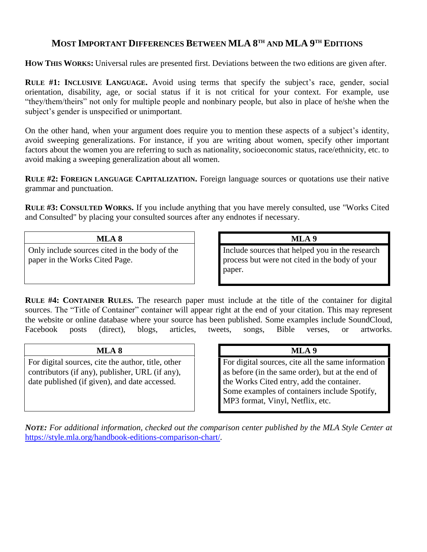# **MOST IMPORTANT DIFFERENCES BETWEEN MLA 8 TH AND MLA 9 TH EDITIONS**

**HOW THIS WORKS:** Universal rules are presented first. Deviations between the two editions are given after.

**RULE #1: INCLUSIVE LANGUAGE.** Avoid using terms that specify the subject's race, gender, social orientation, disability, age, or social status if it is not critical for your context. For example, use "they/them/theirs" not only for multiple people and nonbinary people, but also in place of he/she when the subject's gender is unspecified or unimportant.

On the other hand, when your argument does require you to mention these aspects of a subject's identity, avoid sweeping generalizations. For instance, if you are writing about women, specify other important factors about the women you are referring to such as nationality, socioeconomic status, race/ethnicity, etc. to avoid making a sweeping generalization about all women.

**RULE #2: FOREIGN LANGUAGE CAPITALIZATION.** Foreign language sources or quotations use their native grammar and punctuation.

**RULE #3: CONSULTED WORKS.** If you include anything that you have merely consulted, use "Works Cited and Consulted" by placing your consulted sources after any endnotes if necessary.

#### **MLA 8 MLA 9**

Only include sources cited in the body of the paper in the Works Cited Page.

Include sources that helped you in the research process but were not cited in the body of your paper.

**RULE #4: CONTAINER RULES.** The research paper must include at the title of the container for digital sources. The "Title of Container" container will appear right at the end of your citation. This may represent the website or online database where your source has been published. Some examples include SoundCloud, Facebook posts (direct), blogs, articles, tweets, songs, Bible verses, or artworks.

### **MLA 8 MLA 9**

For digital sources, cite the author, title, other contributors (if any), publisher, URL (if any), date published (if given), and date accessed.

For digital sources, cite all the same information as before (in the same order), but at the end of the Works Cited entry, add the container. Some examples of containers include Spotify, MP3 format, Vinyl, Netflix, etc.

*NOTE: For additional information, checked out the comparison center published by the MLA Style Center at*  <https://style.mla.org/handbook-editions-comparison-chart/>*.*